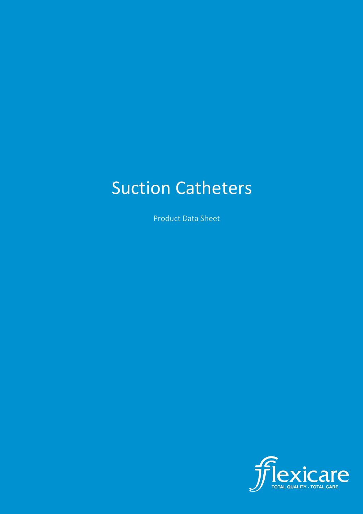# Suction Catheters

Product Data Sheet

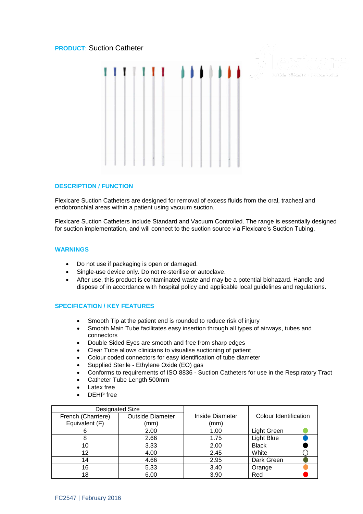## **PRODUCT**: Suction Catheter



#### **DESCRIPTION / FUNCTION**

Flexicare Suction Catheters are designed for removal of excess fluids from the oral, tracheal and endobronchial areas within a patient using vacuum suction.

Flexicare Suction Catheters include Standard and Vacuum Controlled. The range is essentially designed for suction implementation, and will connect to the suction source via Flexicare's Suction Tubing.

#### **WARNINGS**

- Do not use if packaging is open or damaged.
- Single-use device only. Do not re-sterilise or autoclave.
- After use, this product is contaminated waste and may be a potential biohazard. Handle and dispose of in accordance with hospital policy and applicable local guidelines and regulations.

#### **SPECIFICATION / KEY FEATURES**

- Smooth Tip at the patient end is rounded to reduce risk of injury
- Smooth Main Tube facilitates easy insertion through all types of airways, tubes and connectors
- Double Sided Eyes are smooth and free from sharp edges
- Clear Tube allows clinicians to visualise suctioning of patient
- Colour coded connectors for easy identification of tube diameter
- Supplied Sterile Ethylene Oxide (EO) gas
- Conforms to requirements of ISO 8836 Suction Catheters for use in the Respiratory Tract
- Catheter Tube Length 500mm
- Latex free
- DEHP free

| <b>Designated Size</b> |                         |                        |                       |
|------------------------|-------------------------|------------------------|-----------------------|
| French (Charriere)     | <b>Outside Diameter</b> | <b>Inside Diameter</b> | Colour Identification |
| Equivalent (F)         | (mm                     | (mm)                   |                       |
|                        | 2.00                    | 1.00                   | Light Green           |
|                        | 2.66                    | 1.75                   | Light Blue            |
| 10                     | 3.33                    | 2.00                   | <b>Black</b>          |
| 12                     | 4.00                    | 2.45                   | White                 |
| 14                     | 4.66                    | 2.95                   | Dark Green            |
| 16                     | 5.33                    | 3.40                   | Orange                |
| 18                     | 6.00                    | 3.90                   | Red                   |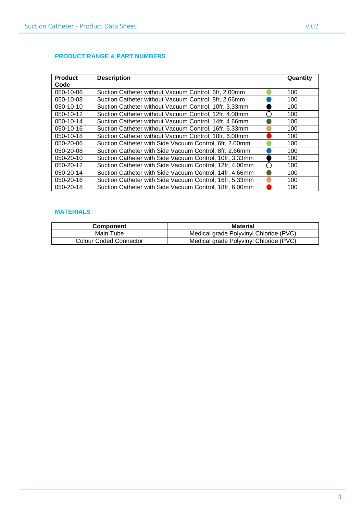## **PRODUCT RANGE & PART NUMBERS**

| <b>Product</b> | <b>Description</b>                                      | Quantity |
|----------------|---------------------------------------------------------|----------|
| Code           |                                                         |          |
| 050-10-06      | Suction Catheter without Vacuum Control, 6fr, 2.00mm    | 100      |
| 050-10-08      | Suction Catheter without Vacuum Control, 8fr, 2.66mm    | 100      |
| 050-10-10      | Suction Catheter without Vacuum Control, 10fr, 3.33mm   | 100      |
| 050-10-12      | Suction Catheter without Vacuum Control, 12fr, 4.00mm   | 100      |
| 050-10-14      | Suction Catheter without Vacuum Control, 14fr, 4.66mm   | 100      |
| 050-10-16      | Suction Catheter without Vacuum Control, 16fr, 5.33mm   | 100      |
| 050-10-18      | Suction Catheter without Vacuum Control, 18fr, 6.00mm   | 100      |
| 050-20-06      | Suction Catheter with Side Vacuum Control, 6fr, 2.00mm  | 100      |
| 050-20-08      | Suction Catheter with Side Vacuum Control, 8fr, 2.66mm  | 100      |
| 050-20-10      | Suction Catheter with Side Vacuum Control, 10fr, 3.33mm | 100      |
| 050-20-12      | Suction Catheter with Side Vacuum Control, 12fr, 4.00mm | 100      |
| 050-20-14      | Suction Catheter with Side Vacuum Control, 14fr, 4.66mm | 100      |
| 050-20-16      | Suction Catheter with Side Vacuum Control, 16fr, 5.33mm | 100      |
| 050-20-18      | Suction Catheter with Side Vacuum Control, 18fr, 6.00mm | 100      |

## **MATERIALS**

| <b>Component</b>              | Material                               |  |
|-------------------------------|----------------------------------------|--|
| Main Tube                     | Medical grade Polyvinyl Chloride (PVC) |  |
| <b>Colour Coded Connector</b> | Medical grade Polyvinyl Chloride (PVC) |  |